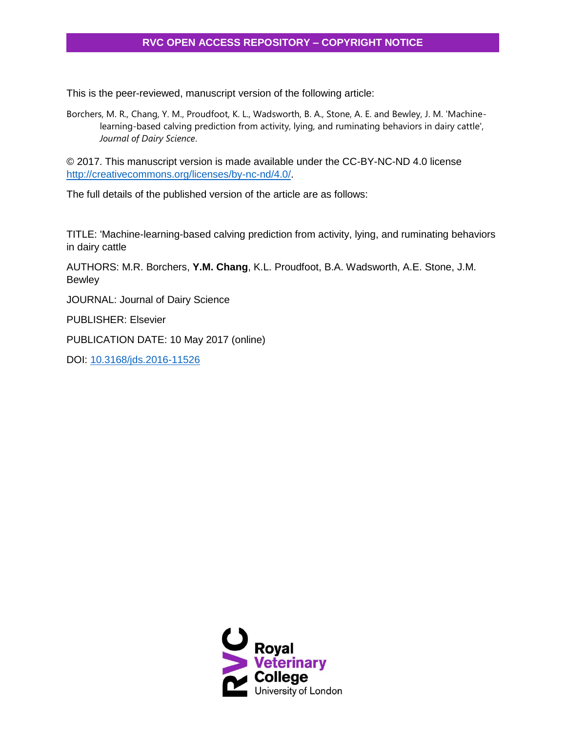# **RVC OPEN ACCESS REPOSITORY – COPYRIGHT NOTICE**

This is the peer-reviewed, manuscript version of the following article:

Borchers, M. R., Chang, Y. M., Proudfoot, K. L., Wadsworth, B. A., Stone, A. E. and Bewley, J. M. 'Machinelearning-based calving prediction from activity, lying, and ruminating behaviors in dairy cattle', *Journal of Dairy Science*.

© 2017. This manuscript version is made available under the CC-BY-NC-ND 4.0 license [http://creativecommons.org/licenses/by-nc-nd/4.0/.](http://creativecommons.org/licenses/by-nc-nd/4.0/)

The full details of the published version of the article are as follows:

TITLE: 'Machine-learning-based calving prediction from activity, lying, and ruminating behaviors in dairy cattle

AUTHORS: M.R. Borchers, **Y.M. Chang**, K.L. Proudfoot, B.A. Wadsworth, A.E. Stone, J.M. Bewley

JOURNAL: Journal of Dairy Science

PUBLISHER: Elsevier

PUBLICATION DATE: 10 May 2017 (online)

DOI: [10.3168/jds.2016-11526](https://doi.org/10.3168/jds.2016-11526)

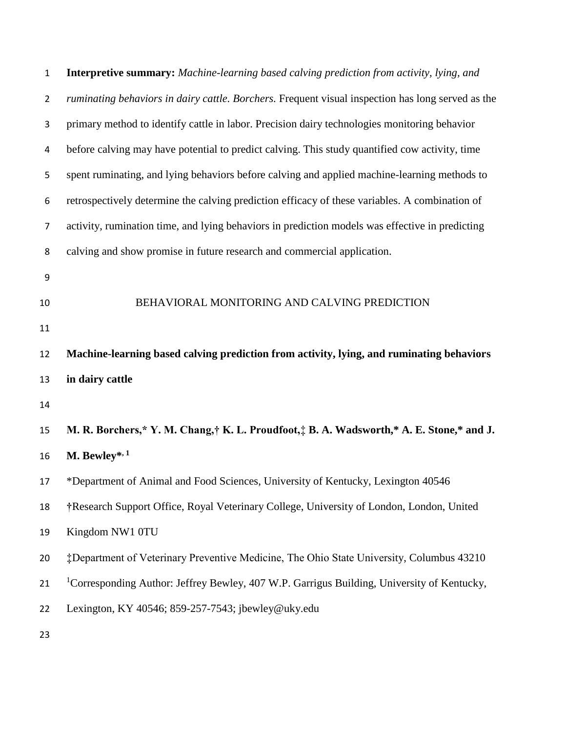| $\mathbf{1}$   | <b>Interpretive summary:</b> Machine-learning based calving prediction from activity, lying, and       |
|----------------|--------------------------------------------------------------------------------------------------------|
| $\overline{2}$ | ruminating behaviors in dairy cattle. Borchers. Frequent visual inspection has long served as the      |
| 3              | primary method to identify cattle in labor. Precision dairy technologies monitoring behavior           |
| 4              | before calving may have potential to predict calving. This study quantified cow activity, time         |
| 5              | spent ruminating, and lying behaviors before calving and applied machine-learning methods to           |
| 6              | retrospectively determine the calving prediction efficacy of these variables. A combination of         |
| 7              | activity, rumination time, and lying behaviors in prediction models was effective in predicting        |
| 8              | calving and show promise in future research and commercial application.                                |
| 9              |                                                                                                        |
| 10             | BEHAVIORAL MONITORING AND CALVING PREDICTION                                                           |
| 11             |                                                                                                        |
|                |                                                                                                        |
| 12             | Machine-learning based calving prediction from activity, lying, and ruminating behaviors               |
| 13             | in dairy cattle                                                                                        |
| 14             |                                                                                                        |
| 15             | M. R. Borchers,* Y. M. Chang,† K. L. Proudfoot, $\ddagger$ B. A. Wadsworth,* A. E. Stone,* and J.      |
| 16             | M. Bewley $^{*,1}$                                                                                     |
|                | *Department of Animal and Food Sciences, University of Kentucky, Lexington 40546                       |
|                | †Research Support Office, Royal Veterinary College, University of London, London, United               |
| 17<br>18<br>19 | Kingdom NW1 0TU                                                                                        |
| 20             | <b>The State University, Columbus 43210</b> Columbus 43210                                             |
| 21             | <sup>1</sup> Corresponding Author: Jeffrey Bewley, 407 W.P. Garrigus Building, University of Kentucky, |
| 22             | Lexington, KY 40546; 859-257-7543; jbewley@uky.edu                                                     |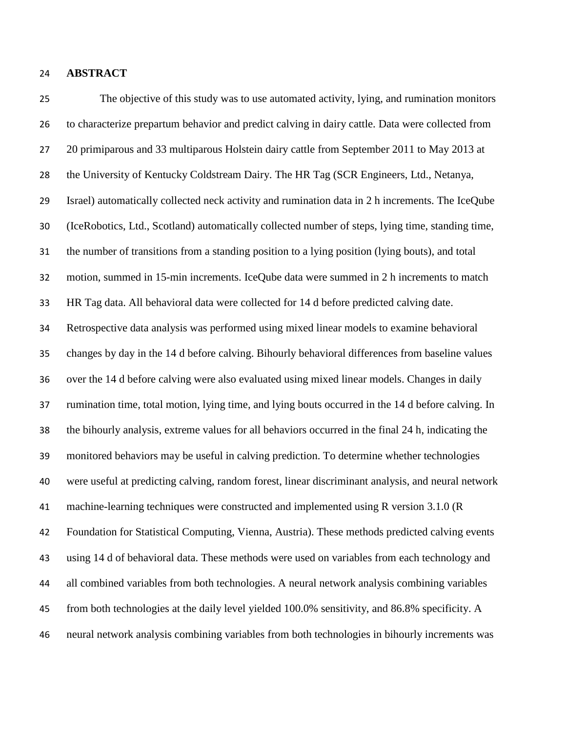## **ABSTRACT**

 The objective of this study was to use automated activity, lying, and rumination monitors to characterize prepartum behavior and predict calving in dairy cattle. Data were collected from 20 primiparous and 33 multiparous Holstein dairy cattle from September 2011 to May 2013 at the University of Kentucky Coldstream Dairy. The HR Tag (SCR Engineers, Ltd., Netanya, Israel) automatically collected neck activity and rumination data in 2 h increments. The IceQube (IceRobotics, Ltd., Scotland) automatically collected number of steps, lying time, standing time, the number of transitions from a standing position to a lying position (lying bouts), and total motion, summed in 15-min increments. IceQube data were summed in 2 h increments to match HR Tag data. All behavioral data were collected for 14 d before predicted calving date. Retrospective data analysis was performed using mixed linear models to examine behavioral changes by day in the 14 d before calving. Bihourly behavioral differences from baseline values over the 14 d before calving were also evaluated using mixed linear models. Changes in daily rumination time, total motion, lying time, and lying bouts occurred in the 14 d before calving. In the bihourly analysis, extreme values for all behaviors occurred in the final 24 h, indicating the monitored behaviors may be useful in calving prediction. To determine whether technologies were useful at predicting calving, random forest, linear discriminant analysis, and neural network machine-learning techniques were constructed and implemented using R version 3.1.0 (R Foundation for Statistical Computing, Vienna, Austria). These methods predicted calving events using 14 d of behavioral data. These methods were used on variables from each technology and all combined variables from both technologies. A neural network analysis combining variables from both technologies at the daily level yielded 100.0% sensitivity, and 86.8% specificity. A neural network analysis combining variables from both technologies in bihourly increments was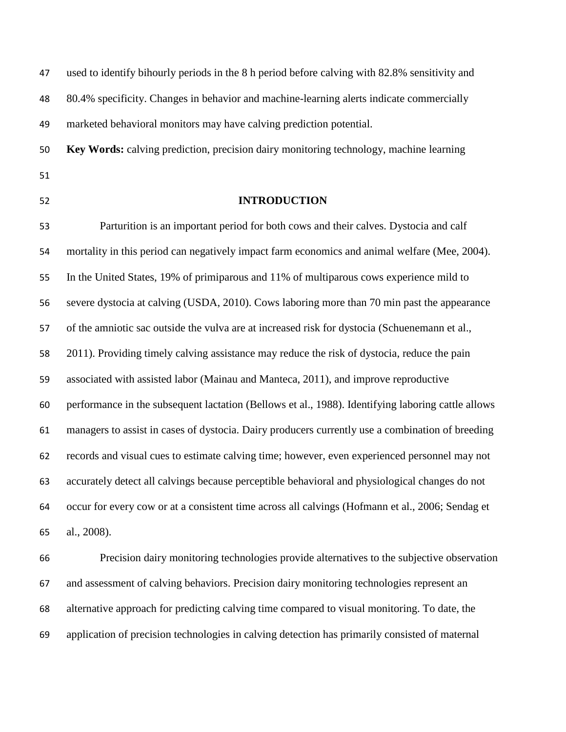| 47 | used to identify bihourly periods in the 8 h period before calving with 82.8% sensitivity and      |
|----|----------------------------------------------------------------------------------------------------|
| 48 | 80.4% specificity. Changes in behavior and machine-learning alerts indicate commercially           |
| 49 | marketed behavioral monitors may have calving prediction potential.                                |
| 50 | Key Words: calving prediction, precision dairy monitoring technology, machine learning             |
| 51 |                                                                                                    |
| 52 | <b>INTRODUCTION</b>                                                                                |
| 53 | Parturition is an important period for both cows and their calves. Dystocia and calf               |
| 54 | mortality in this period can negatively impact farm economics and animal welfare (Mee, 2004).      |
| 55 | In the United States, 19% of primiparous and 11% of multiparous cows experience mild to            |
| 56 | severe dystocia at calving (USDA, 2010). Cows laboring more than 70 min past the appearance        |
| 57 | of the amniotic sac outside the vulva are at increased risk for dystocia (Schuenemann et al.,      |
| 58 | 2011). Providing timely calving assistance may reduce the risk of dystocia, reduce the pain        |
| 59 | associated with assisted labor (Mainau and Manteca, 2011), and improve reproductive                |
| 60 | performance in the subsequent lactation (Bellows et al., 1988). Identifying laboring cattle allows |
| 61 | managers to assist in cases of dystocia. Dairy producers currently use a combination of breeding   |
| 62 | records and visual cues to estimate calving time; however, even experienced personnel may not      |
| 63 | accurately detect all calvings because perceptible behavioral and physiological changes do not     |
| 64 | occur for every cow or at a consistent time across all calvings (Hofmann et al., 2006; Sendag et   |
| 65 | al., 2008).                                                                                        |
| 66 | Precision dairy monitoring technologies provide alternatives to the subjective observation         |
| 67 | and assessment of calving behaviors. Precision dairy monitoring technologies represent an          |
| 68 | alternative approach for predicting calving time compared to visual monitoring. To date, the       |

application of precision technologies in calving detection has primarily consisted of maternal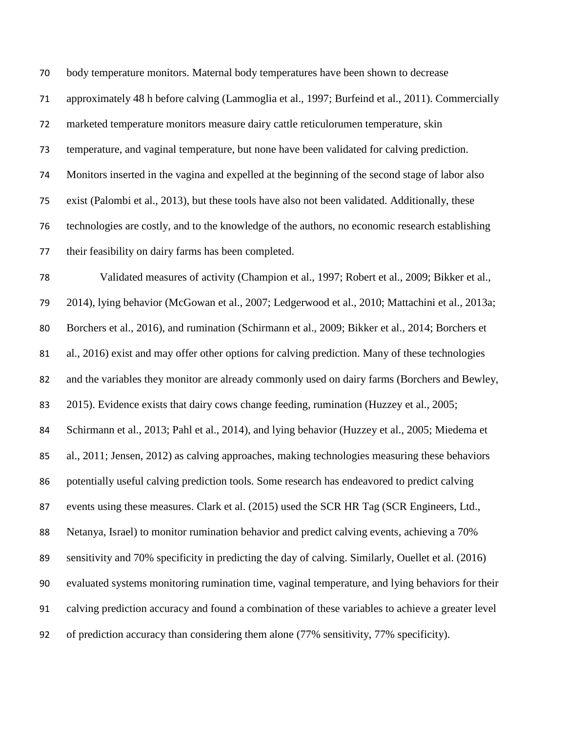body temperature monitors. Maternal body temperatures have been shown to decrease approximately 48 h before calving [\(Lammoglia et al., 1997;](#page-21-2) [Burfeind et al., 2011\)](#page-21-3). Commercially marketed temperature monitors measure dairy cattle reticulorumen temperature, skin temperature, and vaginal temperature, but none have been validated for calving prediction. Monitors inserted in the vagina and expelled at the beginning of the second stage of labor also exist [\(Palombi et al., 2013\)](#page-22-2), but these tools have also not been validated. Additionally, these technologies are costly, and to the knowledge of the authors, no economic research establishing their feasibility on dairy farms has been completed. Validated measures of activity [\(Champion et al., 1997;](#page-21-4) [Robert et al., 2009;](#page-23-3) [Bikker et al.,](#page-21-5)  [2014\)](#page-21-5), lying behavior [\(McGowan et al., 2007;](#page-22-3) [Ledgerwood et al., 2010;](#page-22-4) [Mattachini et al., 2013a;](#page-22-5) [Borchers et al., 2016\)](#page-21-6), and rumination [\(Schirmann et al., 2009;](#page-23-4) [Bikker et al., 2014;](#page-21-5) [Borchers et](#page-21-6)  [al., 2016\)](#page-21-6) exist and may offer other options for calving prediction. Many of these technologies 82 and the variables they monitor are already commonly used on dairy farms (Borchers and Bewley, [2015\)](#page-21-7). Evidence exists that dairy cows change feeding, rumination [\(Huzzey et al., 2005;](#page-21-8) [Schirmann et al., 2013;](#page-23-5) [Pahl et al., 2014\)](#page-22-6), and lying behavior [\(Huzzey et al., 2005;](#page-21-8) [Miedema et](#page-22-7)  [al., 2011;](#page-22-7) [Jensen, 2012\)](#page-21-9) as calving approaches, making technologies measuring these behaviors potentially useful calving prediction tools. Some research has endeavored to predict calving 87 events using these measures. Clark et [al. \(2015\)](#page-21-10) used the SCR HR Tag (SCR Engineers, Ltd., Netanya, Israel) to monitor rumination behavior and predict calving events, achieving a 70% sensitivity and 70% specificity in predicting the day of calving. Similarly, [Ouellet et al. \(2016\)](#page-22-8) evaluated systems monitoring rumination time, vaginal temperature, and lying behaviors for their calving prediction accuracy and found a combination of these variables to achieve a greater level of prediction accuracy than considering them alone (77% sensitivity, 77% specificity).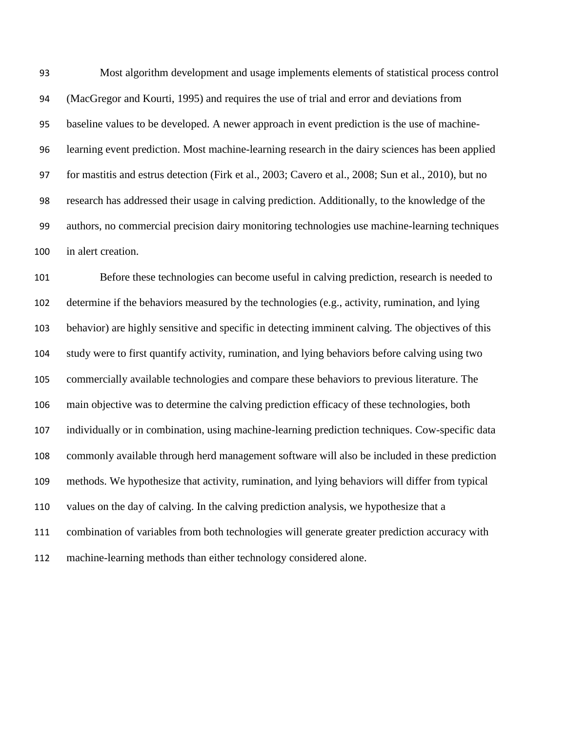Most algorithm development and usage implements elements of statistical process control [\(MacGregor and Kourti, 1995\)](#page-22-9) and requires the use of trial and error and deviations from baseline values to be developed. A newer approach in event prediction is the use of machine- learning event prediction. Most machine-learning research in the dairy sciences has been applied for mastitis and estrus detection [\(Firk et al., 2003;](#page-21-11) [Cavero et al., 2008;](#page-21-12) [Sun et al., 2010\)](#page-23-6), but no research has addressed their usage in calving prediction. Additionally, to the knowledge of the authors, no commercial precision dairy monitoring technologies use machine-learning techniques in alert creation.

 Before these technologies can become useful in calving prediction, research is needed to determine if the behaviors measured by the technologies (e.g., activity, rumination, and lying behavior) are highly sensitive and specific in detecting imminent calving. The objectives of this study were to first quantify activity, rumination, and lying behaviors before calving using two commercially available technologies and compare these behaviors to previous literature. The main objective was to determine the calving prediction efficacy of these technologies, both individually or in combination, using machine-learning prediction techniques. Cow-specific data commonly available through herd management software will also be included in these prediction methods. We hypothesize that activity, rumination, and lying behaviors will differ from typical values on the day of calving. In the calving prediction analysis, we hypothesize that a combination of variables from both technologies will generate greater prediction accuracy with machine-learning methods than either technology considered alone.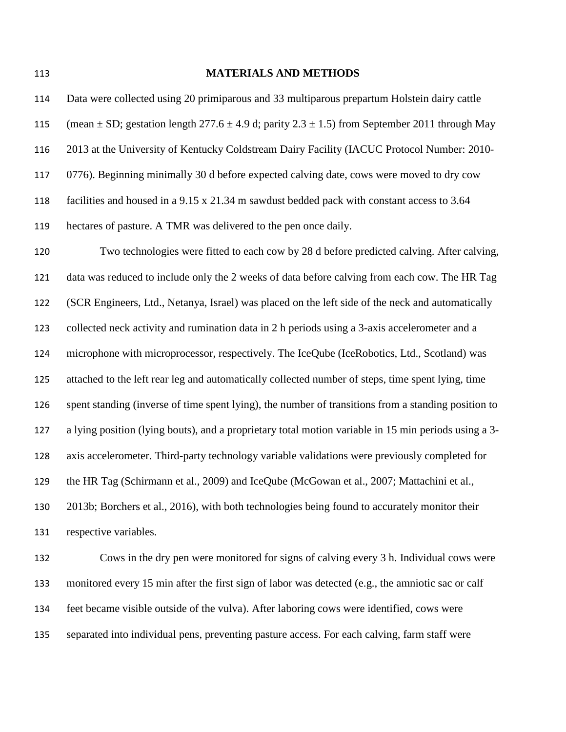#### **MATERIALS AND METHODS**

 Data were collected using 20 primiparous and 33 multiparous prepartum Holstein dairy cattle 115 (mean  $\pm$  SD; gestation length 277.6  $\pm$  4.9 d; parity 2.3  $\pm$  1.5) from September 2011 through May 2013 at the University of Kentucky Coldstream Dairy Facility (IACUC Protocol Number: 2010- 0776). Beginning minimally 30 d before expected calving date, cows were moved to dry cow facilities and housed in a 9.15 x 21.34 m sawdust bedded pack with constant access to 3.64 hectares of pasture. A TMR was delivered to the pen once daily. Two technologies were fitted to each cow by 28 d before predicted calving. After calving, data was reduced to include only the 2 weeks of data before calving from each cow. The HR Tag (SCR Engineers, Ltd., Netanya, Israel) was placed on the left side of the neck and automatically collected neck activity and rumination data in 2 h periods using a 3-axis accelerometer and a microphone with microprocessor, respectively. The IceQube (IceRobotics, Ltd., Scotland) was attached to the left rear leg and automatically collected number of steps, time spent lying, time spent standing (inverse of time spent lying), the number of transitions from a standing position to

a lying position (lying bouts), and a proprietary total motion variable in 15 min periods using a 3-

axis accelerometer. Third-party technology variable validations were previously completed for

the HR Tag [\(Schirmann et al., 2009\)](#page-23-4) and IceQube [\(McGowan et al., 2007;](#page-22-3) [Mattachini et al.,](#page-22-10) 

 [2013b;](#page-22-10) [Borchers et al., 2016\)](#page-21-6), with both technologies being found to accurately monitor their respective variables.

 Cows in the dry pen were monitored for signs of calving every 3 h. Individual cows were monitored every 15 min after the first sign of labor was detected (e.g., the amniotic sac or calf feet became visible outside of the vulva). After laboring cows were identified, cows were separated into individual pens, preventing pasture access. For each calving, farm staff were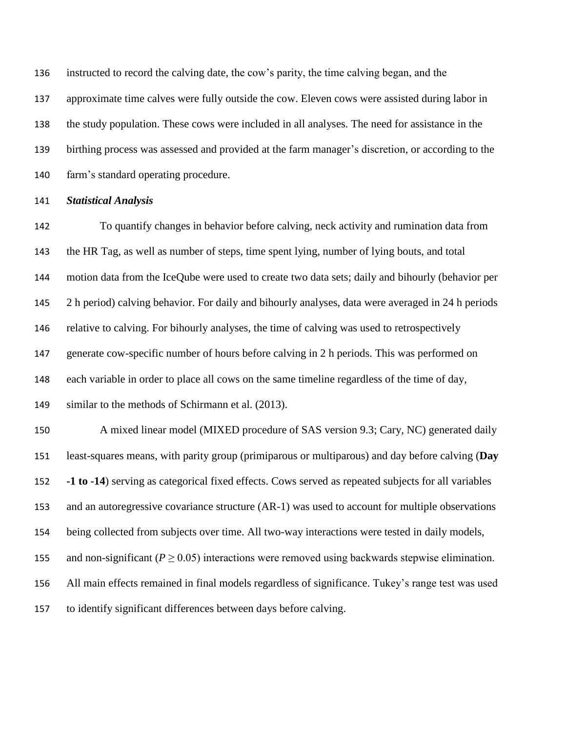instructed to record the calving date, the cow's parity, the time calving began, and the approximate time calves were fully outside the cow. Eleven cows were assisted during labor in the study population. These cows were included in all analyses. The need for assistance in the birthing process was assessed and provided at the farm manager's discretion, or according to the farm's standard operating procedure.

#### *Statistical Analysis*

 To quantify changes in behavior before calving, neck activity and rumination data from the HR Tag, as well as number of steps, time spent lying, number of lying bouts, and total motion data from the IceQube were used to create two data sets; daily and bihourly (behavior per 2 h period) calving behavior. For daily and bihourly analyses, data were averaged in 24 h periods relative to calving. For bihourly analyses, the time of calving was used to retrospectively generate cow-specific number of hours before calving in 2 h periods. This was performed on each variable in order to place all cows on the same timeline regardless of the time of day, similar to the methods of [Schirmann et al. \(2013\).](#page-23-5)

 A mixed linear model (MIXED procedure of SAS version 9.3; Cary, NC) generated daily least-squares means, with parity group (primiparous or multiparous) and day before calving (**Day -1 to -14**) serving as categorical fixed effects. Cows served as repeated subjects for all variables and an autoregressive covariance structure (AR-1) was used to account for multiple observations being collected from subjects over time. All two-way interactions were tested in daily models, 155 and non-significant ( $P \ge 0.05$ ) interactions were removed using backwards stepwise elimination. All main effects remained in final models regardless of significance. Tukey's range test was used to identify significant differences between days before calving.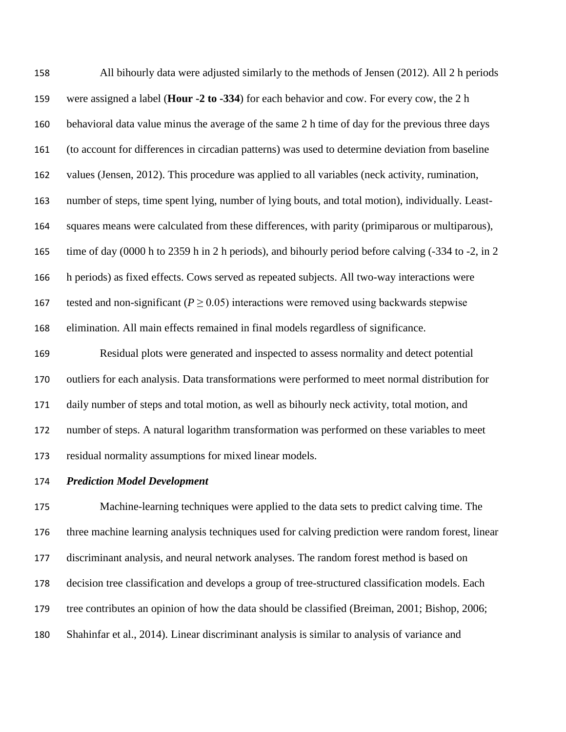All bihourly data were adjusted similarly to the methods of [Jensen \(2012\).](#page-21-9) All 2 h periods were assigned a label (**Hour -2 to -334**) for each behavior and cow. For every cow, the 2 h behavioral data value minus the average of the same 2 h time of day for the previous three days (to account for differences in circadian patterns) was used to determine deviation from baseline values [\(Jensen, 2012\)](#page-21-9). This procedure was applied to all variables (neck activity, rumination, number of steps, time spent lying, number of lying bouts, and total motion), individually. Least- squares means were calculated from these differences, with parity (primiparous or multiparous), time of day (0000 h to 2359 h in 2 h periods), and bihourly period before calving (-334 to -2, in 2 h periods) as fixed effects. Cows served as repeated subjects. All two-way interactions were 167 tested and non-significant ( $P \ge 0.05$ ) interactions were removed using backwards stepwise elimination. All main effects remained in final models regardless of significance. Residual plots were generated and inspected to assess normality and detect potential

 outliers for each analysis. Data transformations were performed to meet normal distribution for daily number of steps and total motion, as well as bihourly neck activity, total motion, and number of steps. A natural logarithm transformation was performed on these variables to meet residual normality assumptions for mixed linear models.

#### *Prediction Model Development*

 Machine-learning techniques were applied to the data sets to predict calving time. The three machine learning analysis techniques used for calving prediction were random forest, linear discriminant analysis, and neural network analyses. The random forest method is based on decision tree classification and develops a group of tree-structured classification models. Each tree contributes an opinion of how the data should be classified [\(Breiman, 2001;](#page-21-13) [Bishop, 2006;](#page-21-14) [Shahinfar et al., 2014\)](#page-23-7). Linear discriminant analysis is similar to analysis of variance and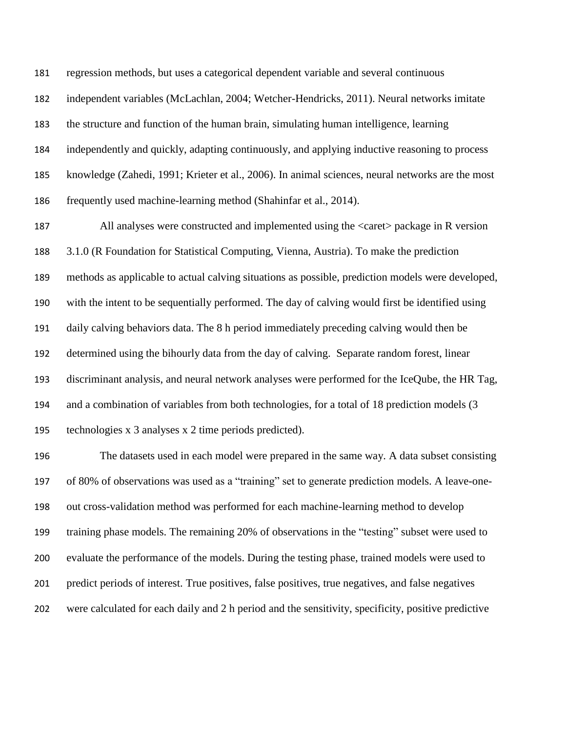regression methods, but uses a categorical dependent variable and several continuous independent variables [\(McLachlan, 2004;](#page-22-11) [Wetcher-Hendricks, 2011\)](#page-23-8). Neural networks imitate the structure and function of the human brain, simulating human intelligence, learning independently and quickly, adapting continuously, and applying inductive reasoning to process knowledge [\(Zahedi, 1991;](#page-23-9) [Krieter et al., 2006\)](#page-21-15). In animal sciences, neural networks are the most frequently used machine-learning method [\(Shahinfar et al., 2014\)](#page-23-7).

 All analyses were constructed and implemented using the <caret> package in R version 3.1.0 (R Foundation for Statistical Computing, Vienna, Austria). To make the prediction methods as applicable to actual calving situations as possible, prediction models were developed, with the intent to be sequentially performed. The day of calving would first be identified using daily calving behaviors data. The 8 h period immediately preceding calving would then be determined using the bihourly data from the day of calving. Separate random forest, linear discriminant analysis, and neural network analyses were performed for the IceQube, the HR Tag, and a combination of variables from both technologies, for a total of 18 prediction models (3 technologies x 3 analyses x 2 time periods predicted).

 The datasets used in each model were prepared in the same way. A data subset consisting of 80% of observations was used as a "training" set to generate prediction models. A leave-one- out cross-validation method was performed for each machine-learning method to develop training phase models. The remaining 20% of observations in the "testing" subset were used to evaluate the performance of the models. During the testing phase, trained models were used to predict periods of interest. True positives, false positives, true negatives, and false negatives were calculated for each daily and 2 h period and the sensitivity, specificity, positive predictive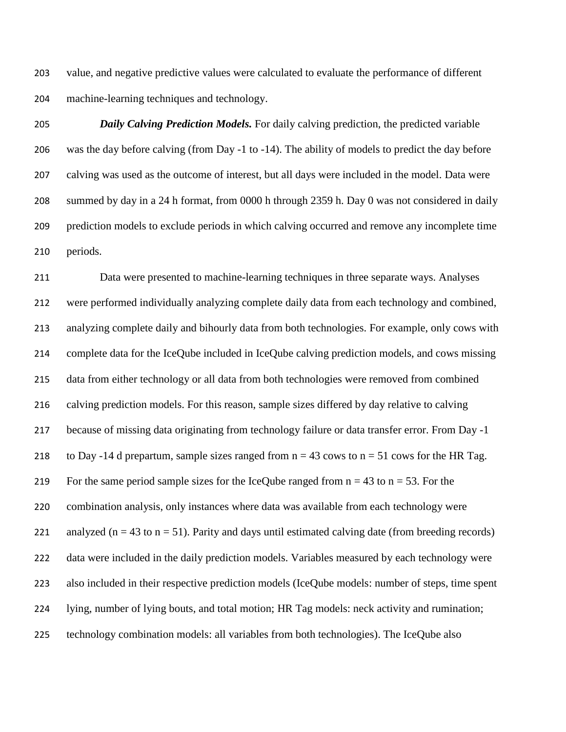value, and negative predictive values were calculated to evaluate the performance of different machine-learning techniques and technology.

 *Daily Calving Prediction Models.* For daily calving prediction, the predicted variable was the day before calving (from Day -1 to -14). The ability of models to predict the day before calving was used as the outcome of interest, but all days were included in the model. Data were summed by day in a 24 h format, from 0000 h through 2359 h. Day 0 was not considered in daily prediction models to exclude periods in which calving occurred and remove any incomplete time periods.

 Data were presented to machine-learning techniques in three separate ways. Analyses were performed individually analyzing complete daily data from each technology and combined, analyzing complete daily and bihourly data from both technologies. For example, only cows with complete data for the IceQube included in IceQube calving prediction models, and cows missing data from either technology or all data from both technologies were removed from combined calving prediction models. For this reason, sample sizes differed by day relative to calving because of missing data originating from technology failure or data transfer error. From Day -1 218 to Day -14 d prepartum, sample sizes ranged from  $n = 43$  cows to  $n = 51$  cows for the HR Tag. 219 For the same period sample sizes for the IceQube ranged from  $n = 43$  to  $n = 53$ . For the combination analysis, only instances where data was available from each technology were 221 analyzed ( $n = 43$  to  $n = 51$ ). Parity and days until estimated calving date (from breeding records) data were included in the daily prediction models. Variables measured by each technology were also included in their respective prediction models (IceQube models: number of steps, time spent lying, number of lying bouts, and total motion; HR Tag models: neck activity and rumination; technology combination models: all variables from both technologies). The IceQube also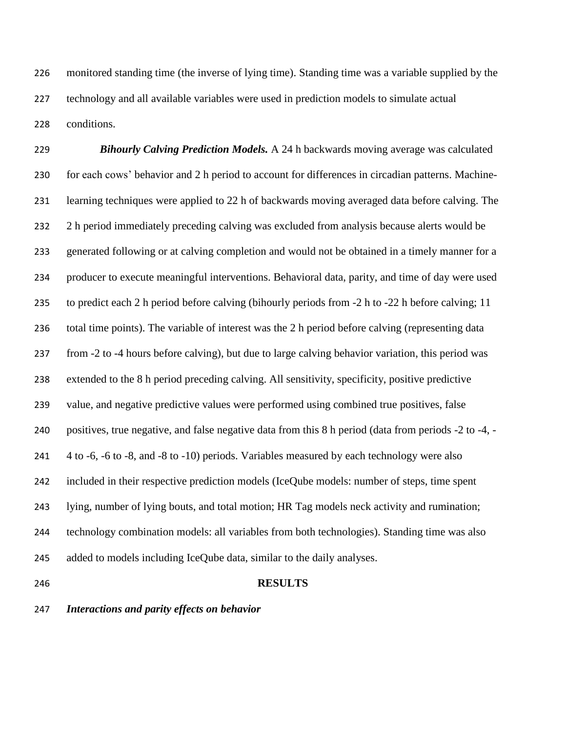monitored standing time (the inverse of lying time). Standing time was a variable supplied by the technology and all available variables were used in prediction models to simulate actual conditions.

 *Bihourly Calving Prediction Models.* A 24 h backwards moving average was calculated for each cows' behavior and 2 h period to account for differences in circadian patterns. Machine- learning techniques were applied to 22 h of backwards moving averaged data before calving. The 232 2 h period immediately preceding calving was excluded from analysis because alerts would be generated following or at calving completion and would not be obtained in a timely manner for a producer to execute meaningful interventions. Behavioral data, parity, and time of day were used to predict each 2 h period before calving (bihourly periods from -2 h to -22 h before calving; 11 total time points). The variable of interest was the 2 h period before calving (representing data from -2 to -4 hours before calving), but due to large calving behavior variation, this period was extended to the 8 h period preceding calving. All sensitivity, specificity, positive predictive value, and negative predictive values were performed using combined true positives, false positives, true negative, and false negative data from this 8 h period (data from periods -2 to -4, - 4 to -6, -6 to -8, and -8 to -10) periods. Variables measured by each technology were also included in their respective prediction models (IceQube models: number of steps, time spent lying, number of lying bouts, and total motion; HR Tag models neck activity and rumination; technology combination models: all variables from both technologies). Standing time was also 245 added to models including IceQube data, similar to the daily analyses.

#### **RESULTS**

*Interactions and parity effects on behavior*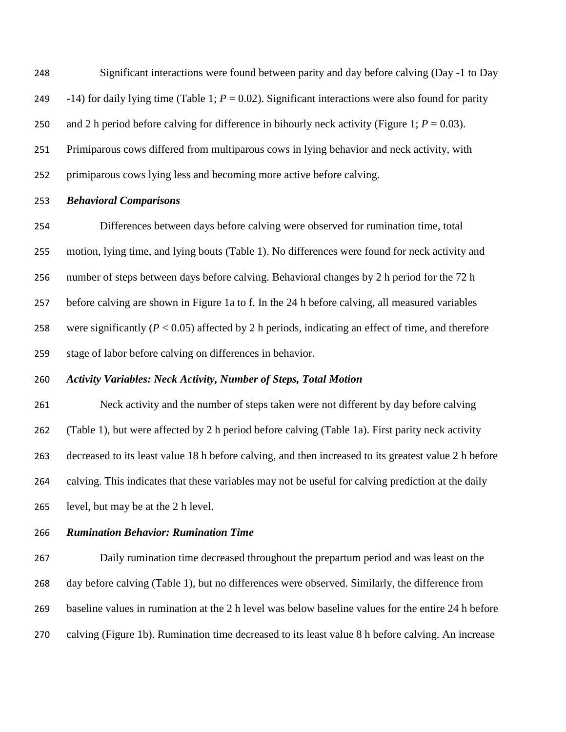Significant interactions were found between parity and day before calving (Day -1 to Day  $-14$ ) for daily lying time (Table 1;  $P = 0.02$ ). Significant interactions were also found for parity 250 and 2 h period before calving for difference in bihourly neck activity (Figure 1;  $P = 0.03$ ). Primiparous cows differed from multiparous cows in lying behavior and neck activity, with primiparous cows lying less and becoming more active before calving.

#### *Behavioral Comparisons*

 Differences between days before calving were observed for rumination time, total motion, lying time, and lying bouts (Table 1). No differences were found for neck activity and number of steps between days before calving. Behavioral changes by 2 h period for the 72 h before calving are shown in Figure 1a to f. In the 24 h before calving, all measured variables 258 were significantly ( $P < 0.05$ ) affected by 2 h periods, indicating an effect of time, and therefore stage of labor before calving on differences in behavior.

## *Activity Variables: Neck Activity, Number of Steps, Total Motion*

 Neck activity and the number of steps taken were not different by day before calving (Table 1), but were affected by 2 h period before calving (Table 1a). First parity neck activity decreased to its least value 18 h before calving, and then increased to its greatest value 2 h before calving. This indicates that these variables may not be useful for calving prediction at the daily level, but may be at the 2 h level.

# *Rumination Behavior: Rumination Time*

 Daily rumination time decreased throughout the prepartum period and was least on the day before calving (Table 1), but no differences were observed. Similarly, the difference from baseline values in rumination at the 2 h level was below baseline values for the entire 24 h before calving (Figure 1b). Rumination time decreased to its least value 8 h before calving. An increase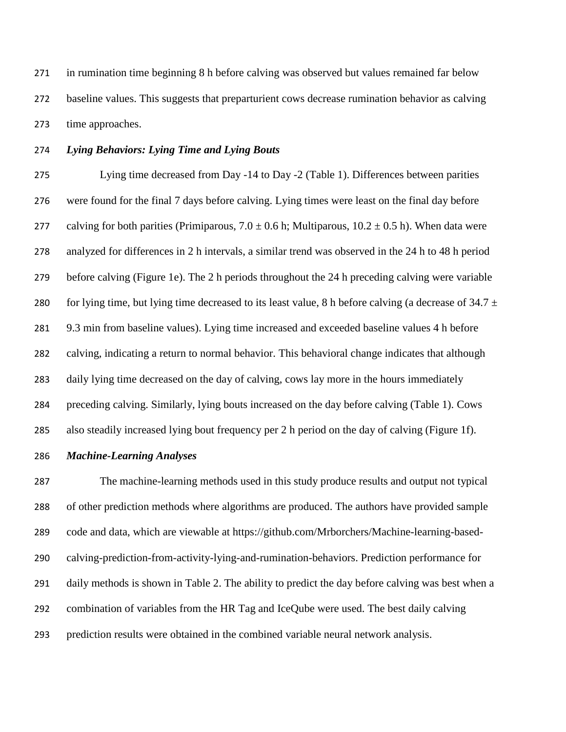in rumination time beginning 8 h before calving was observed but values remained far below baseline values. This suggests that preparturient cows decrease rumination behavior as calving time approaches.

# *Lying Behaviors: Lying Time and Lying Bouts*

 Lying time decreased from Day -14 to Day -2 (Table 1). Differences between parities were found for the final 7 days before calving. Lying times were least on the final day before 277 calving for both parities (Primiparous,  $7.0 \pm 0.6$  h; Multiparous,  $10.2 \pm 0.5$  h). When data were analyzed for differences in 2 h intervals, a similar trend was observed in the 24 h to 48 h period before calving (Figure 1e). The 2 h periods throughout the 24 h preceding calving were variable 280 for lying time, but lying time decreased to its least value, 8 h before calving (a decrease of  $34.7 \pm 10$  9.3 min from baseline values). Lying time increased and exceeded baseline values 4 h before calving, indicating a return to normal behavior. This behavioral change indicates that although daily lying time decreased on the day of calving, cows lay more in the hours immediately preceding calving. Similarly, lying bouts increased on the day before calving (Table 1). Cows also steadily increased lying bout frequency per 2 h period on the day of calving (Figure 1f).

### *Machine-Learning Analyses*

 The machine-learning methods used in this study produce results and output not typical of other prediction methods where algorithms are produced. The authors have provided sample code and data, which are viewable at https://github.com/Mrborchers/Machine-learning-based- calving-prediction-from-activity-lying-and-rumination-behaviors. Prediction performance for daily methods is shown in Table 2. The ability to predict the day before calving was best when a combination of variables from the HR Tag and IceQube were used. The best daily calving prediction results were obtained in the combined variable neural network analysis.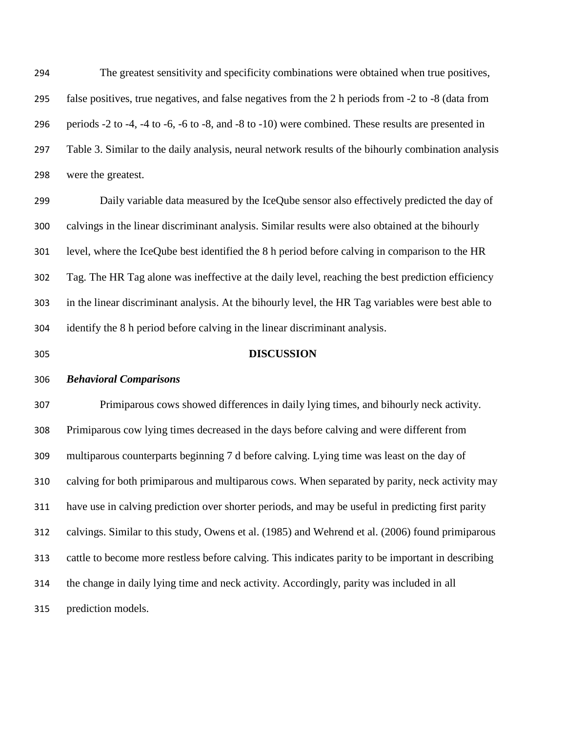The greatest sensitivity and specificity combinations were obtained when true positives, false positives, true negatives, and false negatives from the 2 h periods from -2 to -8 (data from periods -2 to -4, -4 to -6, -6 to -8, and -8 to -10) were combined. These results are presented in Table 3. Similar to the daily analysis, neural network results of the bihourly combination analysis were the greatest.

 Daily variable data measured by the IceQube sensor also effectively predicted the day of calvings in the linear discriminant analysis. Similar results were also obtained at the bihourly level, where the IceQube best identified the 8 h period before calving in comparison to the HR Tag. The HR Tag alone was ineffective at the daily level, reaching the best prediction efficiency in the linear discriminant analysis. At the bihourly level, the HR Tag variables were best able to identify the 8 h period before calving in the linear discriminant analysis.

*Behavioral Comparisons*

#### **DISCUSSION**

# Primiparous cows showed differences in daily lying times, and bihourly neck activity. Primiparous cow lying times decreased in the days before calving and were different from multiparous counterparts beginning 7 d before calving. Lying time was least on the day of calving for both primiparous and multiparous cows. When separated by parity, neck activity may have use in calving prediction over shorter periods, and may be useful in predicting first parity calvings. Similar to this study, [Owens et al. \(1985\)](#page-22-12) and [Wehrend et al. \(2006\)](#page-23-10) found primiparous cattle to become more restless before calving. This indicates parity to be important in describing the change in daily lying time and neck activity. Accordingly, parity was included in all prediction models.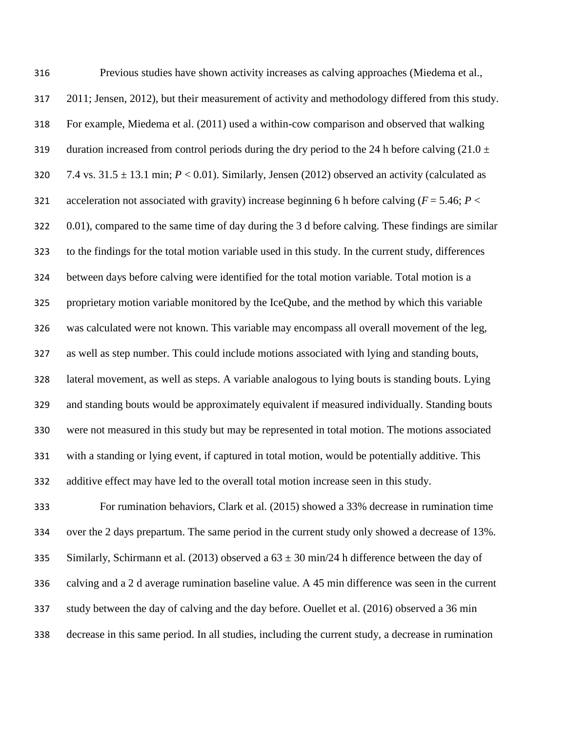Previous studies have shown activity increases as calving approaches (Miedema et al., 2011; Jensen, 2012), but their measurement of activity and methodology differed from this study. For example, [Miedema et al. \(2011\)](#page-22-7) used a within-cow comparison and observed that walking 319 duration increased from control periods during the dry period to the 24 h before calving (21.0  $\pm$ 320 7.4 vs.  $31.5 \pm 13.1$  min;  $P < 0.01$ ). Similarly, [Jensen \(2012\)](#page-21-9) observed an activity (calculated as 321 acceleration not associated with gravity) increase beginning 6 h before calving ( $F = 5.46$ ;  $P <$  0.01), compared to the same time of day during the 3 d before calving. These findings are similar to the findings for the total motion variable used in this study. In the current study, differences between days before calving were identified for the total motion variable. Total motion is a proprietary motion variable monitored by the IceQube, and the method by which this variable was calculated were not known. This variable may encompass all overall movement of the leg, as well as step number. This could include motions associated with lying and standing bouts, lateral movement, as well as steps. A variable analogous to lying bouts is standing bouts. Lying and standing bouts would be approximately equivalent if measured individually. Standing bouts were not measured in this study but may be represented in total motion. The motions associated with a standing or lying event, if captured in total motion, would be potentially additive. This additive effect may have led to the overall total motion increase seen in this study.

 For rumination behaviors, [Clark et al. \(2015\)](#page-21-10) showed a 33% decrease in rumination time over the 2 days prepartum. The same period in the current study only showed a decrease of 13%. 335 Similarly, [Schirmann et al. \(2013\)](#page-23-5) observed a  $63 \pm 30$  min/24 h difference between the day of calving and a 2 d average rumination baseline value. A 45 min difference was seen in the current study between the day of calving and the day before. [Ouellet et al. \(2016\)](#page-22-8) observed a 36 min decrease in this same period. In all studies, including the current study, a decrease in rumination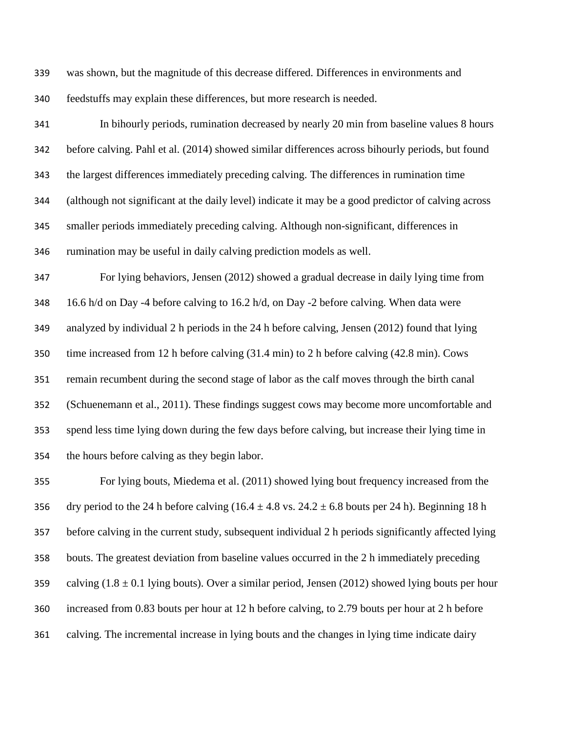was shown, but the magnitude of this decrease differed. Differences in environments and feedstuffs may explain these differences, but more research is needed.

 In bihourly periods, rumination decreased by nearly 20 min from baseline values 8 hours before calving. [Pahl et al. \(2014\)](#page-22-6) showed similar differences across bihourly periods, but found the largest differences immediately preceding calving. The differences in rumination time (although not significant at the daily level) indicate it may be a good predictor of calving across smaller periods immediately preceding calving. Although non-significant, differences in rumination may be useful in daily calving prediction models as well.

 For lying behaviors, [Jensen \(2012\)](#page-21-9) showed a gradual decrease in daily lying time from 16.6 h/d on Day -4 before calving to 16.2 h/d, on Day -2 before calving. When data were analyzed by individual 2 h periods in the 24 h before calving, [Jensen \(2012\)](#page-21-9) found that lying time increased from 12 h before calving (31.4 min) to 2 h before calving (42.8 min). Cows remain recumbent during the second stage of labor as the calf moves through the birth canal (Schuenemann et al., 2011). These findings suggest cows may become more uncomfortable and spend less time lying down during the few days before calving, but increase their lying time in the hours before calving as they begin labor.

 For lying bouts, [Miedema et al.](#page-22-7) (2011) showed lying bout frequency increased from the 356 dry period to the 24 h before calving  $(16.4 \pm 4.8 \text{ vs. } 24.2 \pm 6.8 \text{ hours per } 24 \text{ h})$ . Beginning 18 h before calving in the current study, subsequent individual 2 h periods significantly affected lying bouts. The greatest deviation from baseline values occurred in the 2 h immediately preceding 359 calving  $(1.8 \pm 0.1)$  lying bouts). Over a similar period, [Jensen \(2012\)](#page-21-9) showed lying bouts per hour increased from 0.83 bouts per hour at 12 h before calving, to 2.79 bouts per hour at 2 h before calving. The incremental increase in lying bouts and the changes in lying time indicate dairy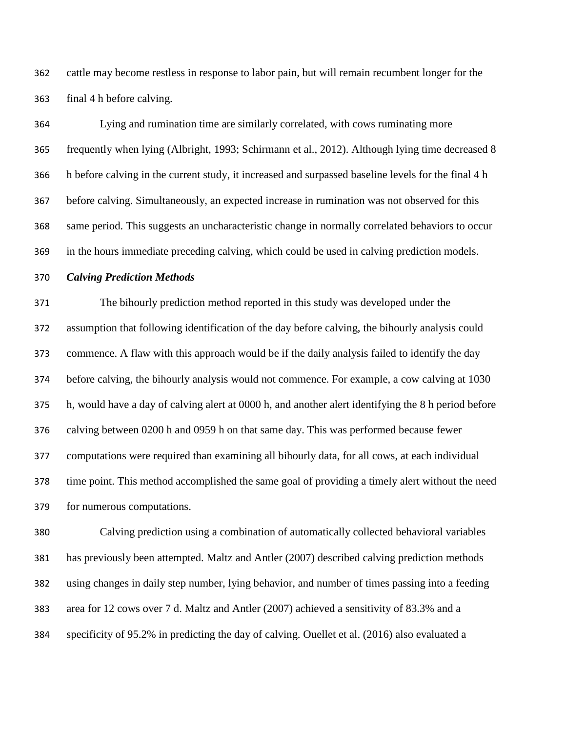cattle may become restless in response to labor pain, but will remain recumbent longer for the final 4 h before calving.

 Lying and rumination time are similarly correlated, with cows ruminating more frequently when lying [\(Albright, 1993;](#page-21-16) [Schirmann et al., 2012\)](#page-23-11). Although lying time decreased 8 h before calving in the current study, it increased and surpassed baseline levels for the final 4 h before calving. Simultaneously, an expected increase in rumination was not observed for this same period. This suggests an uncharacteristic change in normally correlated behaviors to occur in the hours immediate preceding calving, which could be used in calving prediction models.

#### *Calving Prediction Methods*

 The bihourly prediction method reported in this study was developed under the assumption that following identification of the day before calving, the bihourly analysis could commence. A flaw with this approach would be if the daily analysis failed to identify the day before calving, the bihourly analysis would not commence. For example, a cow calving at 1030 h, would have a day of calving alert at 0000 h, and another alert identifying the 8 h period before calving between 0200 h and 0959 h on that same day. This was performed because fewer computations were required than examining all bihourly data, for all cows, at each individual time point. This method accomplished the same goal of providing a timely alert without the need for numerous computations.

 Calving prediction using a combination of automatically collected behavioral variables has previously been attempted. [Maltz and Antler \(2007\)](#page-22-13) described calving prediction methods using changes in daily step number, lying behavior, and number of times passing into a feeding area for 12 cows over 7 d. [Maltz and Antler \(2007\)](#page-22-13) achieved a sensitivity of 83.3% and a specificity of 95.2% in predicting the day of calving. [Ouellet et al. \(2016\)](#page-22-8) also evaluated a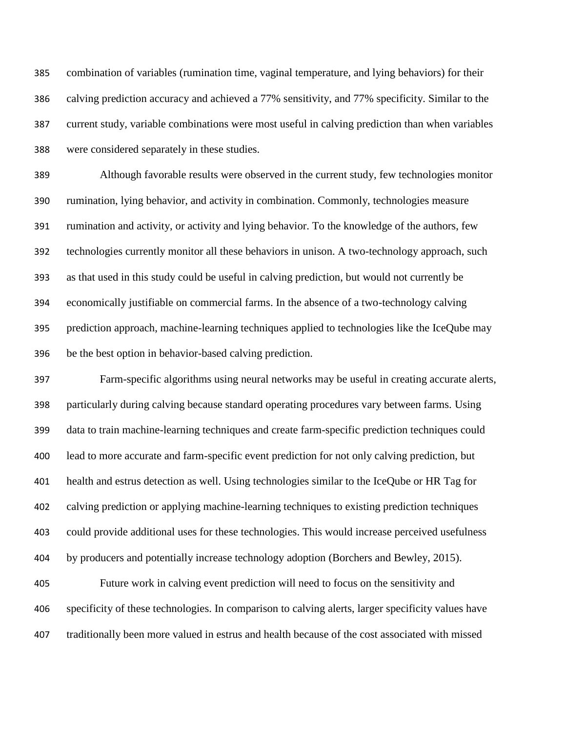combination of variables (rumination time, vaginal temperature, and lying behaviors) for their calving prediction accuracy and achieved a 77% sensitivity, and 77% specificity. Similar to the current study, variable combinations were most useful in calving prediction than when variables were considered separately in these studies.

 Although favorable results were observed in the current study, few technologies monitor rumination, lying behavior, and activity in combination. Commonly, technologies measure rumination and activity, or activity and lying behavior. To the knowledge of the authors, few technologies currently monitor all these behaviors in unison. A two-technology approach, such as that used in this study could be useful in calving prediction, but would not currently be economically justifiable on commercial farms. In the absence of a two-technology calving prediction approach, machine-learning techniques applied to technologies like the IceQube may be the best option in behavior-based calving prediction.

 Farm-specific algorithms using neural networks may be useful in creating accurate alerts, particularly during calving because standard operating procedures vary between farms. Using data to train machine-learning techniques and create farm-specific prediction techniques could lead to more accurate and farm-specific event prediction for not only calving prediction, but health and estrus detection as well. Using technologies similar to the IceQube or HR Tag for calving prediction or applying machine-learning techniques to existing prediction techniques could provide additional uses for these technologies. This would increase perceived usefulness by producers and potentially increase technology adoption [\(Borchers and Bewley, 2015\)](#page-21-7).

 Future work in calving event prediction will need to focus on the sensitivity and specificity of these technologies. In comparison to calving alerts, larger specificity values have traditionally been more valued in estrus and health because of the cost associated with missed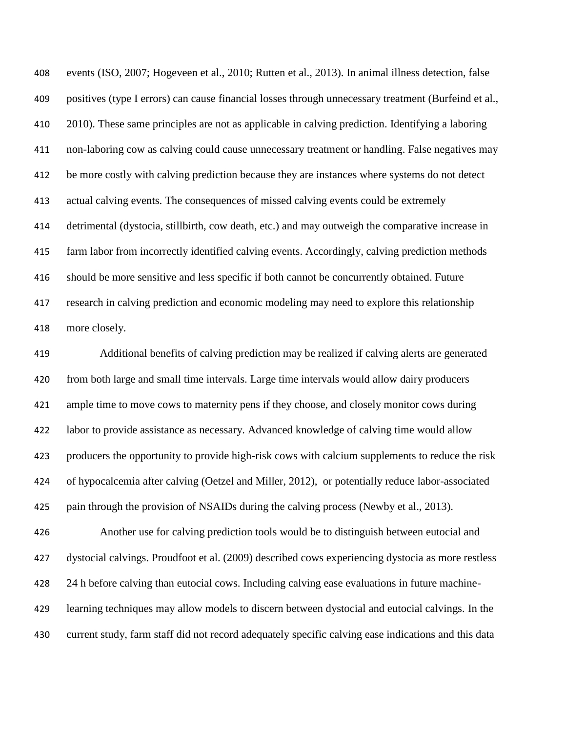events [\(ISO, 2007;](#page-21-17) [Hogeveen et](#page-21-18) al., 2010; [Rutten et al., 2013\)](#page-23-12). In animal illness detection, false positives (type I errors) can cause financial losses through unnecessary treatment (Burfeind et al., 2010). These same principles are not as applicable in calving prediction. Identifying a laboring non-laboring cow as calving could cause unnecessary treatment or handling. False negatives may be more costly with calving prediction because they are instances where systems do not detect actual calving events. The consequences of missed calving events could be extremely detrimental (dystocia, stillbirth, cow death, etc.) and may outweigh the comparative increase in farm labor from incorrectly identified calving events. Accordingly, calving prediction methods should be more sensitive and less specific if both cannot be concurrently obtained. Future research in calving prediction and economic modeling may need to explore this relationship more closely.

 Additional benefits of calving prediction may be realized if calving alerts are generated from both large and small time intervals. Large time intervals would allow dairy producers ample time to move cows to maternity pens if they choose, and closely monitor cows during labor to provide assistance as necessary. Advanced knowledge of calving time would allow producers the opportunity to provide high-risk cows with calcium supplements to reduce the risk of hypocalcemia after calving [\(Oetzel and Miller, 2012\)](#page-22-14), or potentially reduce labor-associated 425 pain through the provision of NSAIDs during the calving process [\(Newby et al., 2013\)](#page-22-15). Another use for calving prediction tools would be to distinguish between eutocial and

 dystocial calvings. [Proudfoot et al. \(2009\)](#page-22-16) described cows experiencing dystocia as more restless 24 h before calving than eutocial cows. Including calving ease evaluations in future machine- learning techniques may allow models to discern between dystocial and eutocial calvings. In the current study, farm staff did not record adequately specific calving ease indications and this data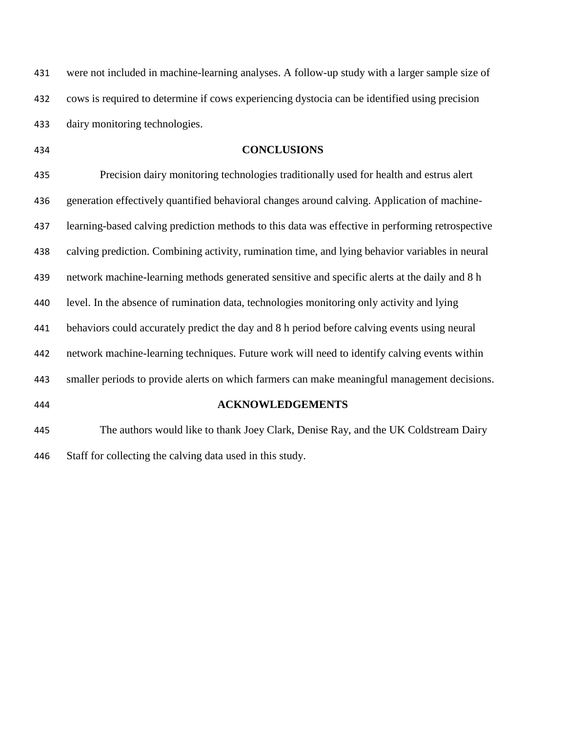were not included in machine-learning analyses. A follow-up study with a larger sample size of cows is required to determine if cows experiencing dystocia can be identified using precision dairy monitoring technologies.

# **CONCLUSIONS**

 Precision dairy monitoring technologies traditionally used for health and estrus alert generation effectively quantified behavioral changes around calving. Application of machine- learning-based calving prediction methods to this data was effective in performing retrospective calving prediction. Combining activity, rumination time, and lying behavior variables in neural network machine-learning methods generated sensitive and specific alerts at the daily and 8 h level. In the absence of rumination data, technologies monitoring only activity and lying behaviors could accurately predict the day and 8 h period before calving events using neural network machine-learning techniques. Future work will need to identify calving events within smaller periods to provide alerts on which farmers can make meaningful management decisions. **ACKNOWLEDGEMENTS** The authors would like to thank Joey Clark, Denise Ray, and the UK Coldstream Dairy

Staff for collecting the calving data used in this study.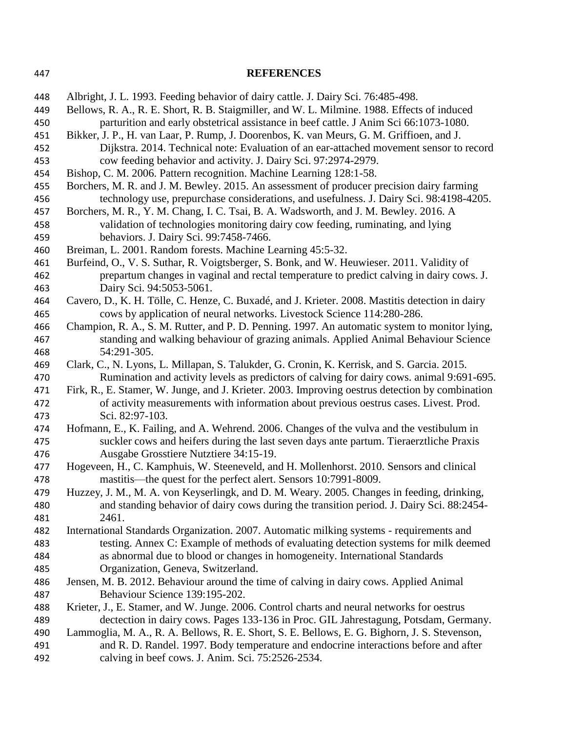#### **REFERENCES**

- <span id="page-21-16"></span>Albright, J. L. 1993. Feeding behavior of dairy cattle. J. Dairy Sci. 76:485-498.
- <span id="page-21-0"></span> Bellows, R. A., R. E. Short, R. B. Staigmiller, and W. L. Milmine. 1988. Effects of induced parturition and early obstetrical assistance in beef cattle. J Anim Sci 66:1073-1080.
- <span id="page-21-5"></span> Bikker, J. P., H. van Laar, P. Rump, J. Doorenbos, K. van Meurs, G. M. Griffioen, and J. Dijkstra. 2014. Technical note: Evaluation of an ear-attached movement sensor to record cow feeding behavior and activity. J. Dairy Sci. 97:2974-2979.
- <span id="page-21-14"></span>Bishop, C. M. 2006. Pattern recognition. Machine Learning 128:1-58.
- <span id="page-21-7"></span> Borchers, M. R. and J. M. Bewley. 2015. An assessment of producer precision dairy farming technology use, prepurchase considerations, and usefulness. J. Dairy Sci. 98:4198-4205.
- <span id="page-21-6"></span> Borchers, M. R., Y. M. Chang, I. C. Tsai, B. A. Wadsworth, and J. M. Bewley. 2016. A validation of technologies monitoring dairy cow feeding, ruminating, and lying behaviors. J. Dairy Sci. 99:7458-7466.
- <span id="page-21-13"></span>Breiman, L. 2001. Random forests. Machine Learning 45:5-32.
- <span id="page-21-3"></span> Burfeind, O., V. S. Suthar, R. Voigtsberger, S. Bonk, and W. Heuwieser. 2011. Validity of prepartum changes in vaginal and rectal temperature to predict calving in dairy cows. J. Dairy Sci. 94:5053-5061.
- <span id="page-21-12"></span> Cavero, D., K. H. Tölle, C. Henze, C. Buxadé, and J. Krieter. 2008. Mastitis detection in dairy cows by application of neural networks. Livestock Science 114:280-286.
- <span id="page-21-4"></span> Champion, R. A., S. M. Rutter, and P. D. Penning. 1997. An automatic system to monitor lying, standing and walking behaviour of grazing animals. Applied Animal Behaviour Science 54:291-305.
- <span id="page-21-10"></span> Clark, C., N. Lyons, L. Millapan, S. Talukder, G. Cronin, K. Kerrisk, and S. Garcia. 2015. Rumination and activity levels as predictors of calving for dairy cows. animal 9:691-695.
- <span id="page-21-11"></span> Firk, R., E. Stamer, W. Junge, and J. Krieter. 2003. Improving oestrus detection by combination of activity measurements with information about previous oestrus cases. Livest. Prod. Sci. 82:97-103.
- <span id="page-21-1"></span> Hofmann, E., K. Failing, and A. Wehrend. 2006. Changes of the vulva and the vestibulum in suckler cows and heifers during the last seven days ante partum. Tieraerztliche Praxis Ausgabe Grosstiere Nutztiere 34:15-19.
- <span id="page-21-18"></span> Hogeveen, H., C. Kamphuis, W. Steeneveld, and H. Mollenhorst. 2010. Sensors and clinical mastitis—the quest for the perfect alert. Sensors 10:7991-8009.
- <span id="page-21-8"></span> Huzzey, J. M., M. A. von Keyserlingk, and D. M. Weary. 2005. Changes in feeding, drinking, and standing behavior of dairy cows during the transition period. J. Dairy Sci. 88:2454- 2461.
- <span id="page-21-17"></span> International Standards Organization. 2007. Automatic milking systems - requirements and testing. Annex C: Example of methods of evaluating detection systems for milk deemed as abnormal due to blood or changes in homogeneity. International Standards Organization, Geneva, Switzerland.
- <span id="page-21-9"></span> Jensen, M. B. 2012. Behaviour around the time of calving in dairy cows. Applied Animal Behaviour Science 139:195-202.
- <span id="page-21-15"></span> Krieter, J., E. Stamer, and W. Junge. 2006. Control charts and neural networks for oestrus dectection in dairy cows. Pages 133-136 in Proc. GIL Jahrestagung, Potsdam, Germany.
- <span id="page-21-2"></span> Lammoglia, M. A., R. A. Bellows, R. E. Short, S. E. Bellows, E. G. Bighorn, J. S. Stevenson, and R. D. Randel. 1997. Body temperature and endocrine interactions before and after calving in beef cows. J. Anim. Sci. 75:2526-2534.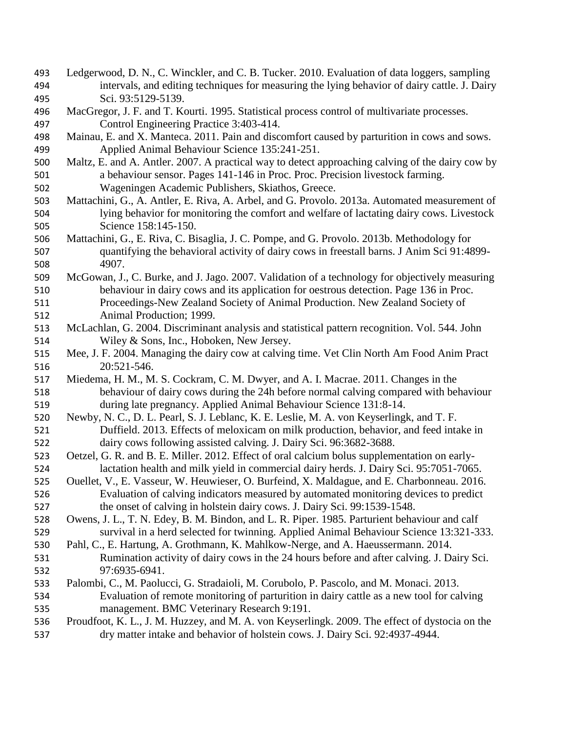- <span id="page-22-4"></span> Ledgerwood, D. N., C. Winckler, and C. B. Tucker. 2010. Evaluation of data loggers, sampling intervals, and editing techniques for measuring the lying behavior of dairy cattle. J. Dairy Sci. 93:5129-5139.
- <span id="page-22-9"></span> MacGregor, J. F. and T. Kourti. 1995. Statistical process control of multivariate processes. Control Engineering Practice 3:403-414.
- <span id="page-22-1"></span> Mainau, E. and X. Manteca. 2011. Pain and discomfort caused by parturition in cows and sows. Applied Animal Behaviour Science 135:241-251.
- <span id="page-22-13"></span> Maltz, E. and A. Antler. 2007. A practical way to detect approaching calving of the dairy cow by a behaviour sensor. Pages 141-146 in Proc. Proc. Precision livestock farming. Wageningen Academic Publishers, Skiathos, Greece.
- <span id="page-22-5"></span> Mattachini, G., A. Antler, E. Riva, A. Arbel, and G. Provolo. 2013a. Automated measurement of lying behavior for monitoring the comfort and welfare of lactating dairy cows. Livestock Science 158:145-150.
- <span id="page-22-10"></span> Mattachini, G., E. Riva, C. Bisaglia, J. C. Pompe, and G. Provolo. 2013b. Methodology for quantifying the behavioral activity of dairy cows in freestall barns. J Anim Sci 91:4899- 4907.
- <span id="page-22-3"></span> McGowan, J., C. Burke, and J. Jago. 2007. Validation of a technology for objectively measuring behaviour in dairy cows and its application for oestrous detection. Page 136 in Proc. Proceedings-New Zealand Society of Animal Production. New Zealand Society of Animal Production; 1999.
- <span id="page-22-11"></span> McLachlan, G. 2004. Discriminant analysis and statistical pattern recognition. Vol. 544. John Wiley & Sons, Inc., Hoboken, New Jersey.
- <span id="page-22-0"></span> Mee, J. F. 2004. Managing the dairy cow at calving time. Vet Clin North Am Food Anim Pract 20:521-546.
- <span id="page-22-7"></span> Miedema, H. M., M. S. Cockram, C. M. Dwyer, and A. I. Macrae. 2011. Changes in the behaviour of dairy cows during the 24h before normal calving compared with behaviour during late pregnancy. Applied Animal Behaviour Science 131:8-14.
- <span id="page-22-15"></span> Newby, N. C., D. L. Pearl, S. J. Leblanc, K. E. Leslie, M. A. von Keyserlingk, and T. F. Duffield. 2013. Effects of meloxicam on milk production, behavior, and feed intake in dairy cows following assisted calving. J. Dairy Sci. 96:3682-3688.
- <span id="page-22-14"></span> Oetzel, G. R. and B. E. Miller. 2012. Effect of oral calcium bolus supplementation on early-lactation health and milk yield in commercial dairy herds. J. Dairy Sci. 95:7051-7065.
- <span id="page-22-8"></span> Ouellet, V., E. Vasseur, W. Heuwieser, O. Burfeind, X. Maldague, and E. Charbonneau. 2016. Evaluation of calving indicators measured by automated monitoring devices to predict the onset of calving in holstein dairy cows. J. Dairy Sci. 99:1539-1548.
- <span id="page-22-12"></span> Owens, J. L., T. N. Edey, B. M. Bindon, and L. R. Piper. 1985. Parturient behaviour and calf survival in a herd selected for twinning. Applied Animal Behaviour Science 13:321-333.
- <span id="page-22-6"></span> Pahl, C., E. Hartung, A. Grothmann, K. Mahlkow-Nerge, and A. Haeussermann. 2014. Rumination activity of dairy cows in the 24 hours before and after calving. J. Dairy Sci. 97:6935-6941.
- <span id="page-22-2"></span> Palombi, C., M. Paolucci, G. Stradaioli, M. Corubolo, P. Pascolo, and M. Monaci. 2013. Evaluation of remote monitoring of parturition in dairy cattle as a new tool for calving management. BMC Veterinary Research 9:191.
- <span id="page-22-16"></span> Proudfoot, K. L., J. M. Huzzey, and M. A. von Keyserlingk. 2009. The effect of dystocia on the dry matter intake and behavior of holstein cows. J. Dairy Sci. 92:4937-4944.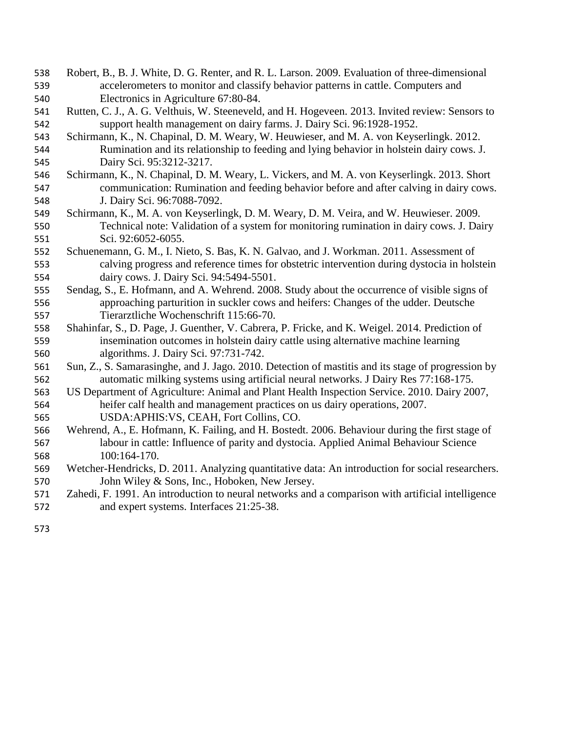- <span id="page-23-3"></span> Robert, B., B. J. White, D. G. Renter, and R. L. Larson. 2009. Evaluation of three-dimensional accelerometers to monitor and classify behavior patterns in cattle. Computers and Electronics in Agriculture 67:80-84.
- <span id="page-23-12"></span> Rutten, C. J., A. G. Velthuis, W. Steeneveld, and H. Hogeveen. 2013. Invited review: Sensors to support health management on dairy farms. J. Dairy Sci. 96:1928-1952.
- <span id="page-23-11"></span> Schirmann, K., N. Chapinal, D. M. Weary, W. Heuwieser, and M. A. von Keyserlingk. 2012. Rumination and its relationship to feeding and lying behavior in holstein dairy cows. J. Dairy Sci. 95:3212-3217.
- <span id="page-23-5"></span> Schirmann, K., N. Chapinal, D. M. Weary, L. Vickers, and M. A. von Keyserlingk. 2013. Short communication: Rumination and feeding behavior before and after calving in dairy cows. J. Dairy Sci. 96:7088-7092.
- <span id="page-23-4"></span> Schirmann, K., M. A. von Keyserlingk, D. M. Weary, D. M. Veira, and W. Heuwieser. 2009. Technical note: Validation of a system for monitoring rumination in dairy cows. J. Dairy Sci. 92:6052-6055.
- <span id="page-23-1"></span> Schuenemann, G. M., I. Nieto, S. Bas, K. N. Galvao, and J. Workman. 2011. Assessment of calving progress and reference times for obstetric intervention during dystocia in holstein dairy cows. J. Dairy Sci. 94:5494-5501.
- <span id="page-23-2"></span> Sendag, S., E. Hofmann, and A. Wehrend. 2008. Study about the occurrence of visible signs of approaching parturition in suckler cows and heifers: Changes of the udder. Deutsche Tierarztliche Wochenschrift 115:66-70.
- <span id="page-23-7"></span> Shahinfar, S., D. Page, J. Guenther, V. Cabrera, P. Fricke, and K. Weigel. 2014. Prediction of insemination outcomes in holstein dairy cattle using alternative machine learning algorithms. J. Dairy Sci. 97:731-742.
- <span id="page-23-6"></span> Sun, Z., S. Samarasinghe, and J. Jago. 2010. Detection of mastitis and its stage of progression by automatic milking systems using artificial neural networks. J Dairy Res 77:168-175.
- <span id="page-23-0"></span> US Department of Agriculture: Animal and Plant Health Inspection Service. 2010. Dairy 2007, heifer calf health and management practices on us dairy operations, 2007. USDA:APHIS:VS, CEAH, Fort Collins, CO.
- <span id="page-23-10"></span> Wehrend, A., E. Hofmann, K. Failing, and H. Bostedt. 2006. Behaviour during the first stage of labour in cattle: Influence of parity and dystocia. Applied Animal Behaviour Science 100:164-170.
- <span id="page-23-8"></span> Wetcher-Hendricks, D. 2011. Analyzing quantitative data: An introduction for social researchers. John Wiley & Sons, Inc., Hoboken, New Jersey.
- <span id="page-23-9"></span> Zahedi, F. 1991. An introduction to neural networks and a comparison with artificial intelligence and expert systems. Interfaces 21:25-38.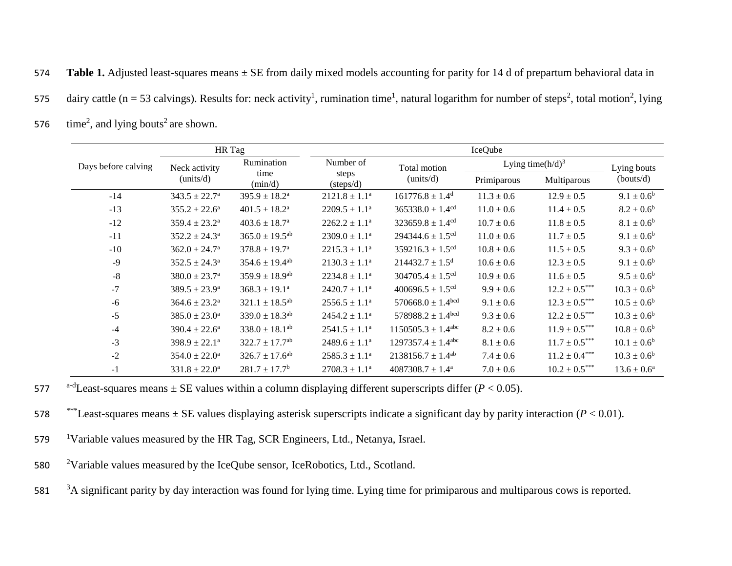| 574 | <b>Table 1.</b> Adjusted least-squares means $\pm$ SE from daily mixed models accounting for parity for 14 d of prepartum behavioral data in                                                    |
|-----|-------------------------------------------------------------------------------------------------------------------------------------------------------------------------------------------------|
| 575 | dairy cattle (n = 53 calvings). Results for: neck activity <sup>1</sup> , rumination time <sup>1</sup> , natural logarithm for number of steps <sup>2</sup> , total motion <sup>2</sup> , lying |
| 576 | time <sup>2</sup> , and lying bouts <sup>2</sup> are shown.                                                                                                                                     |

|                     | HR Tag                      |                                | IceQube                     |                                    |                      |                   |                  |  |
|---------------------|-----------------------------|--------------------------------|-----------------------------|------------------------------------|----------------------|-------------------|------------------|--|
| Days before calving | Neck activity               | Rumination                     | Number of                   | Total motion                       | Lying time $(h/d)^3$ |                   | Lying bouts      |  |
|                     | (units/d)                   | time<br>(min/d)                | steps<br>$(\text{steps}/d)$ | (units/d)                          | Primiparous          | Multiparous       | (bouts/d)        |  |
| $-14$               | $343.5 \pm 22.7^{\rm a}$    | $395.9 \pm 18.2^{\text{a}}$    | $2121.8 \pm 1.1^a$          | $161776.8 \pm 1.4$ <sup>d</sup>    | $11.3 \pm 0.6$       | $12.9 \pm 0.5$    | $9.1 \pm 0.6^b$  |  |
| $-13$               | $355.2 \pm 22.6^a$          | $401.5 \pm 18.2^a$             | $2209.5 \pm 1.1^a$          | $365338.0 \pm 1.4$ <sup>cd</sup>   | $11.0 \pm 0.6$       | $11.4 \pm 0.5$    | $8.2 \pm 0.6^b$  |  |
| $-12$               | $359.4 \pm 23.2^{\text{a}}$ | $403.6 \pm 18.7^{\rm a}$       | $2262.2 \pm 1.1^a$          | 323659.8 $\pm$ 1.4 <sup>cd</sup>   | $10.7 \pm 0.6$       | $11.8 \pm 0.5$    | $8.1 \pm 0.6^b$  |  |
| $-11$               | $352.2 \pm 24.3^a$          | $365.0 \pm 19.5$ <sup>ab</sup> | $2309.0 \pm 1.1^a$          | 294344.6 $\pm$ 1.5 <sup>cd</sup>   | $11.0 \pm 0.6$       | $11.7 \pm 0.5$    | $9.1 \pm 0.6^b$  |  |
| $-10$               | $362.0 \pm 24.7^{\circ}$    | $378.8 \pm 19.7^{\text{a}}$    | $2215.3 \pm 1.1^a$          | $359216.3 \pm 1.5$ <sup>cd</sup>   | $10.8 \pm 0.6$       | $11.5 \pm 0.5$    | $9.3 \pm 0.6^b$  |  |
| $-9$                | $352.5 \pm 24.3^a$          | $354.6 \pm 19.4$ <sup>ab</sup> | $2130.3 \pm 1.1^a$          | $214432.7 \pm 1.5$ <sup>d</sup>    | $10.6 \pm 0.6$       | $12.3 \pm 0.5$    | $9.1 \pm 0.6^b$  |  |
| $-8$                | $380.0 \pm 23.7^{\rm a}$    | $359.9 \pm 18.9^{ab}$          | $2234.8 \pm 1.1^a$          | 304705.4 $\pm$ 1.5 <sup>cd</sup>   | $10.9 \pm 0.6$       | $11.6 \pm 0.5$    | $9.5 \pm 0.6^b$  |  |
| $-7$                | $389.5 \pm 23.9^{\rm a}$    | $368.3 \pm 19.1^a$             | $2420.7 \pm 1.1^a$          | $400696.5 \pm 1.5$ <sup>cd</sup>   | $9.9 \pm 0.6$        | $12.2 \pm 0.5***$ | $10.3 \pm 0.6^b$ |  |
| -6                  | $364.6 \pm 23.2^{\text{a}}$ | $321.1 \pm 18.5^{ab}$          | $2556.5 \pm 1.1^a$          | 570668.0 $\pm$ 1.4 bcd             | $9.1 \pm 0.6$        | $12.3 \pm 0.5***$ | $10.5 \pm 0.6^b$ |  |
| $-5$                | $385.0 \pm 23.0^{\rm a}$    | $339.0 \pm 18.3$ <sup>ab</sup> | $2454.2 \pm 1.1^a$          | 578988.2 $\pm$ 1.4 bcd             | $9.3 \pm 0.6$        | $12.2 \pm 0.5***$ | $10.3 \pm 0.6^b$ |  |
| $-4$                | $390.4 \pm 22.6^{\circ}$    | $338.0 \pm 18.1$ <sup>ab</sup> | $2541.5 \pm 1.1^a$          | $1150505.3 \pm 1.4$ <sup>abc</sup> | $8.2 \pm 0.6$        | $11.9 \pm 0.5***$ | $10.8 \pm 0.6^b$ |  |
| $-3$                | $398.9 \pm 22.1^a$          | $322.7 \pm 17.7$ <sup>ab</sup> | $2489.6 \pm 1.1^a$          | $1297357.4 \pm 1.4$ <sup>abc</sup> | $8.1 \pm 0.6$        | $11.7 \pm 0.5***$ | $10.1 \pm 0.6^b$ |  |
| $-2$                | $354.0 \pm 22.0^{\text{a}}$ | $326.7 \pm 17.6$ <sup>ab</sup> | $2585.3 \pm 1.1^a$          | $2138156.7 \pm 1.4^{ab}$           | $7.4 \pm 0.6$        | $11.2 \pm 0.4***$ | $10.3 \pm 0.6^b$ |  |
| $-1$                | $331.8 \pm 22.0^a$          | $281.7 \pm 17.7$ <sup>b</sup>  | $2708.3 \pm 1.1^a$          | $4087308.7 \pm 1.4^a$              | $7.0 \pm 0.6$        | $10.2 \pm 0.5***$ | $13.6 \pm 0.6^a$ |  |

577 a<sup>-d</sup>Least-squares means  $\pm$  SE values within a column displaying different superscripts differ ( $P < 0.05$ ).

578  $***$  Least-squares means  $\pm$  SE values displaying asterisk superscripts indicate a significant day by parity interaction (*P* < 0.01).

- 579 <sup>1</sup>Variable values measured by the HR Tag, SCR Engineers, Ltd., Netanya, Israel.
- 580  $\textdegree$  <sup>2</sup>Variable values measured by the IceQube sensor, IceRobotics, Ltd., Scotland.

581 <sup>3</sup>A significant parity by day interaction was found for lying time. Lying time for primiparous and multiparous cows is reported.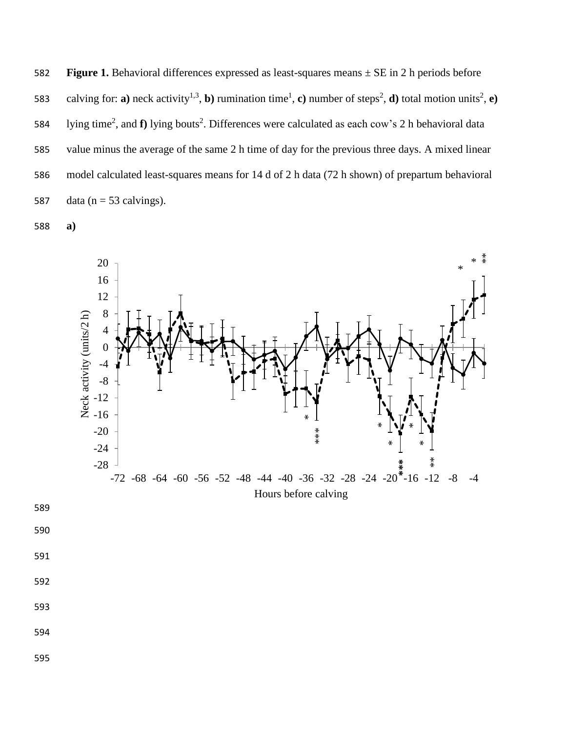582 **Figure 1.** Behavioral differences expressed as least-squares means ± SE in 2 h periods before 583 calving for: **a**) neck activity<sup>1,3</sup>, **b**) rumination time<sup>1</sup>, **c**) number of steps<sup>2</sup>, **d**) total motion units<sup>2</sup>, **e**) 584 lying time<sup>2</sup>, and **f**) lying bouts<sup>2</sup>. Differences were calculated as each cow's 2 h behavioral data 585 value minus the average of the same 2 h time of day for the previous three days. A mixed linear 586 model calculated least-squares means for 14 d of 2 h data (72 h shown) of prepartum behavioral 587 data ( $n = 53$  calvings).

588 **a)**



- 589
- 590
- 591
- 592
- 593
- 594
- 595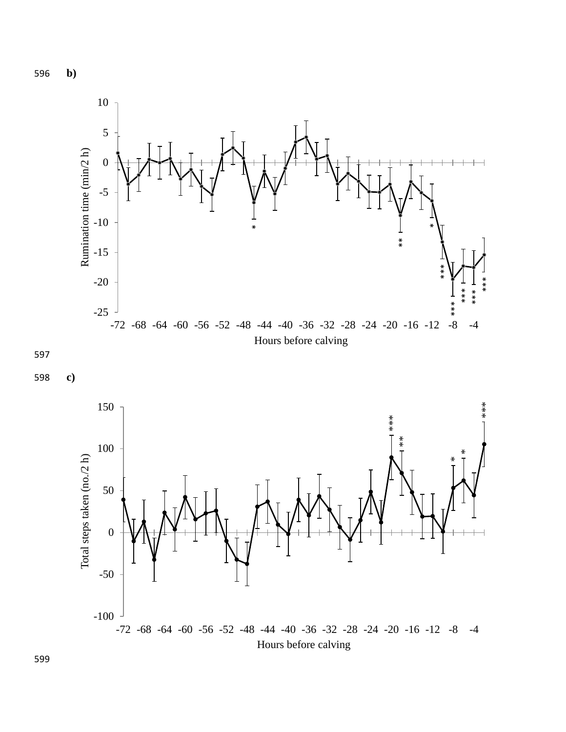



598 **c)**

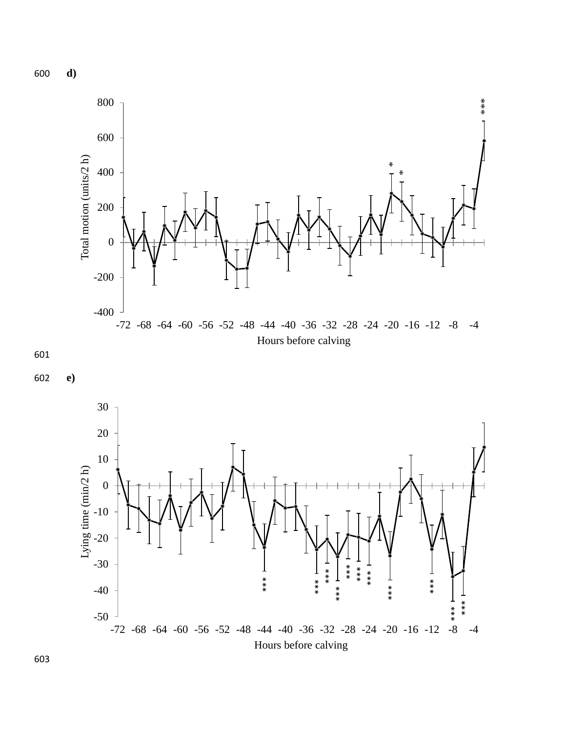



602 **e)**

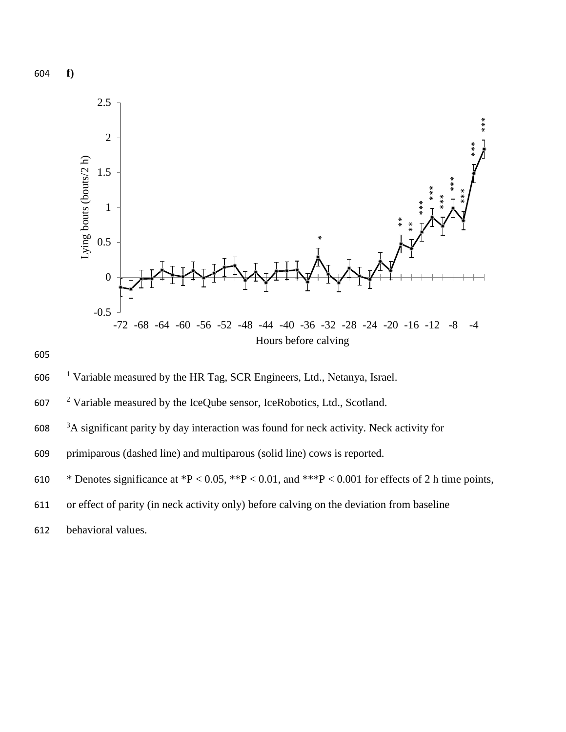



606 <sup>1</sup> Variable measured by the HR Tag, SCR Engineers, Ltd., Netanya, Israel.

- 607 <sup>2</sup> Variable measured by the IceQube sensor, IceRobotics, Ltd., Scotland.
- $608$  <sup>3</sup>A significant parity by day interaction was found for neck activity. Neck activity for
- 609 primiparous (dashed line) and multiparous (solid line) cows is reported.
- 610 \* Denotes significance at \*P < 0.05, \*\*P < 0.01, and \*\*\*P < 0.001 for effects of 2 h time points,
- 611 or effect of parity (in neck activity only) before calving on the deviation from baseline
- 612 behavioral values.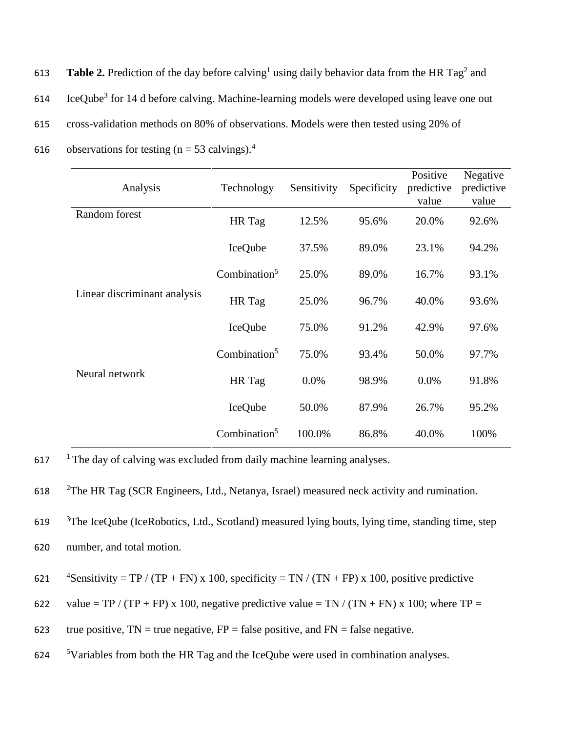613 Table 2. Prediction of the day before calving<sup>1</sup> using daily behavior data from the HR Tag<sup>2</sup> and 614 IceQube<sup>3</sup> for 14 d before calving. Machine-learning models were developed using leave one out 615 cross-validation methods on 80% of observations. Models were then tested using 20% of observations for testing ( $n = 53$  calvings).<sup>4</sup> 616

| Analysis                     | Technology               | Sensitivity | Specificity | Positive<br>predictive<br>value | Negative<br>predictive<br>value |
|------------------------------|--------------------------|-------------|-------------|---------------------------------|---------------------------------|
| Random forest                | HR Tag                   | 12.5%       | 95.6%       | 20.0%                           | 92.6%                           |
|                              | <b>IceQube</b>           | 37.5%       | 89.0%       | 23.1%                           | 94.2%                           |
|                              | Combination $5$          | 25.0%       | 89.0%       | 16.7%                           | 93.1%                           |
| Linear discriminant analysis | HR Tag                   | 25.0%       | 96.7%       | 40.0%                           | 93.6%                           |
|                              | IceQube                  | 75.0%       | 91.2%       | 42.9%                           | 97.6%                           |
|                              | Combination <sup>5</sup> | 75.0%       | 93.4%       | 50.0%                           | 97.7%                           |
| Neural network               | HR Tag                   | 0.0%        | 98.9%       | 0.0%                            | 91.8%                           |
|                              | IceQube                  | 50.0%       | 87.9%       | 26.7%                           | 95.2%                           |
|                              | Combination <sup>5</sup> | 100.0%      | 86.8%       | 40.0%                           | 100%                            |

 $1617$  <sup>1</sup> The day of calving was excluded from daily machine learning analyses.

618 <sup>2</sup>The HR Tag (SCR Engineers, Ltd., Netanya, Israel) measured neck activity and rumination.

619 <sup>3</sup>The IceQube (IceRobotics, Ltd., Scotland) measured lying bouts, lying time, standing time, step

620 number, and total motion.

621  $\frac{4}{3}$  Sensitivity = TP / (TP + FN) x 100, specificity = TN / (TN + FP) x 100, positive predictive

622 value = TP / (TP + FP) x 100, negative predictive value = TN / (TN + FN) x 100; where TP =

623 true positive,  $TN = true$  negative,  $FP = false$  positive, and  $FN = false$  negative.

<sup>5</sup>Variables from both the HR Tag and the IceQube were used in combination analyses.